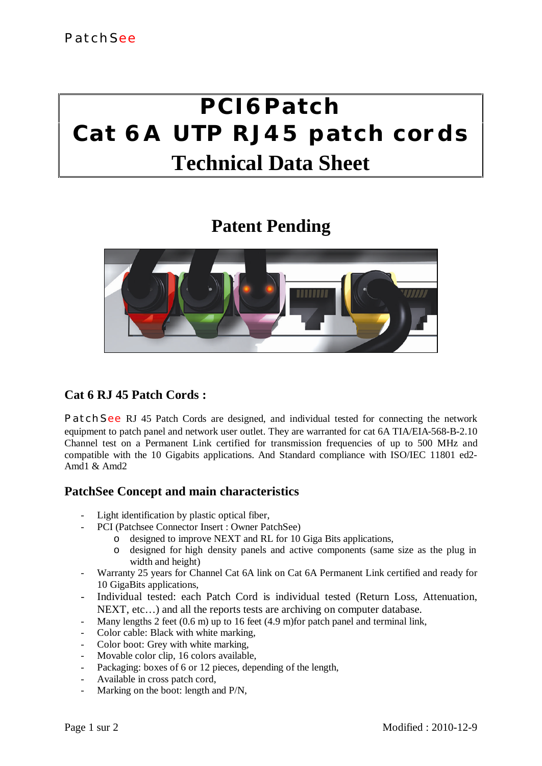# **PCI6Patch Cat 6A UTP RJ45 patch cords Technical Data Sheet**

## **Patent Pending**



## **Cat 6 RJ 45 Patch Cords :**

**PatchSee** RJ 45 Patch Cords are designed, and individual tested for connecting the network equipment to patch panel and network user outlet. They are warranted for cat 6A TIA/EIA-568-B-2.10 Channel test on a Permanent Link certified for transmission frequencies of up to 500 MHz and compatible with the 10 Gigabits applications. And Standard compliance with ISO/IEC 11801 ed2- Amd1 & Amd2

### **PatchSee Concept and main characteristics**

- Light identification by plastic optical fiber,
- PCI (Patchsee Connector Insert : Owner PatchSee)
	- o designed to improve NEXT and RL for 10 Giga Bits applications,
	- o designed for high density panels and active components (same size as the plug in width and height)
- Warranty 25 years for Channel Cat 6A link on Cat 6A Permanent Link certified and ready for 10 GigaBits applications,
- Individual tested: each Patch Cord is individual tested (Return Loss, Attenuation, NEXT, etc…) and all the reports tests are archiving on computer database.
- Many lengths 2 feet (0.6 m) up to 16 feet (4.9 m) for patch panel and terminal link,
- Color cable: Black with white marking,
- Color boot: Grey with white marking,
- Movable color clip, 16 colors available,
- Packaging: boxes of 6 or 12 pieces, depending of the length,
- Available in cross patch cord,
- Marking on the boot: length and P/N,